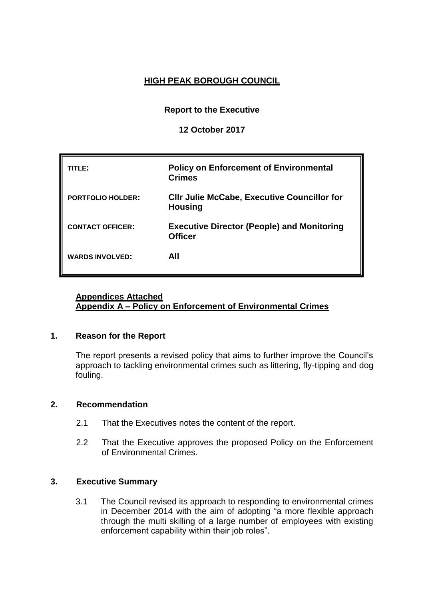# **HIGH PEAK BOROUGH COUNCIL**

**Report to the Executive**

**12 October 2017**

| TLE:                     | <b>Policy on Enforcement of Environmental</b><br><b>Crimes</b>       |
|--------------------------|----------------------------------------------------------------------|
| <b>PORTFOLIO HOLDER:</b> | <b>CIIr Julie McCabe, Executive Councillor for</b><br><b>Housing</b> |
| <b>CONTACT OFFICER:</b>  | <b>Executive Director (People) and Monitoring</b><br><b>Officer</b>  |
| <b>WARDS INVOLVED:</b>   | AII                                                                  |

## **Appendices Attached Appendix A – Policy on Enforcement of Environmental Crimes**

#### **1. Reason for the Report**

The report presents a revised policy that aims to further improve the Council's approach to tackling environmental crimes such as littering, fly-tipping and dog fouling.

#### **2. Recommendation**

- 2.1 That the Executives notes the content of the report.
- 2.2 That the Executive approves the proposed Policy on the Enforcement of Environmental Crimes.

## **3. Executive Summary**

3.1 The Council revised its approach to responding to environmental crimes in December 2014 with the aim of adopting "a more flexible approach through the multi skilling of a large number of employees with existing enforcement capability within their job roles".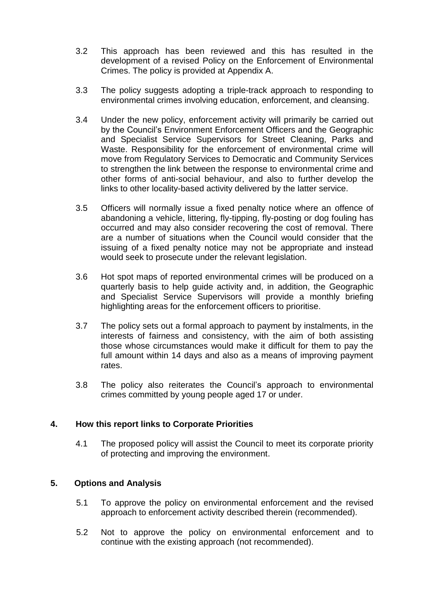- 3.2 This approach has been reviewed and this has resulted in the development of a revised Policy on the Enforcement of Environmental Crimes. The policy is provided at Appendix A.
- 3.3 The policy suggests adopting a triple-track approach to responding to environmental crimes involving education, enforcement, and cleansing.
- 3.4 Under the new policy, enforcement activity will primarily be carried out by the Council's Environment Enforcement Officers and the Geographic and Specialist Service Supervisors for Street Cleaning, Parks and Waste. Responsibility for the enforcement of environmental crime will move from Regulatory Services to Democratic and Community Services to strengthen the link between the response to environmental crime and other forms of anti-social behaviour, and also to further develop the links to other locality-based activity delivered by the latter service.
- 3.5 Officers will normally issue a fixed penalty notice where an offence of abandoning a vehicle, littering, fly-tipping, fly-posting or dog fouling has occurred and may also consider recovering the cost of removal. There are a number of situations when the Council would consider that the issuing of a fixed penalty notice may not be appropriate and instead would seek to prosecute under the relevant legislation.
- 3.6 Hot spot maps of reported environmental crimes will be produced on a quarterly basis to help guide activity and, in addition, the Geographic and Specialist Service Supervisors will provide a monthly briefing highlighting areas for the enforcement officers to prioritise.
- 3.7 The policy sets out a formal approach to payment by instalments, in the interests of fairness and consistency, with the aim of both assisting those whose circumstances would make it difficult for them to pay the full amount within 14 days and also as a means of improving payment rates.
- 3.8 The policy also reiterates the Council's approach to environmental crimes committed by young people aged 17 or under.

## **4. How this report links to Corporate Priorities**

4.1 The proposed policy will assist the Council to meet its corporate priority of protecting and improving the environment.

#### **5. Options and Analysis**

- 5.1 To approve the policy on environmental enforcement and the revised approach to enforcement activity described therein (recommended).
- 5.2 Not to approve the policy on environmental enforcement and to continue with the existing approach (not recommended).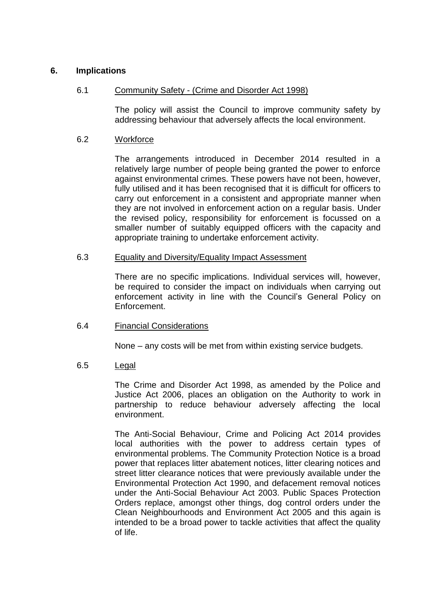#### **6. Implications**

### 6.1 Community Safety - (Crime and Disorder Act 1998)

The policy will assist the Council to improve community safety by addressing behaviour that adversely affects the local environment.

#### 6.2 Workforce

The arrangements introduced in December 2014 resulted in a relatively large number of people being granted the power to enforce against environmental crimes. These powers have not been, however, fully utilised and it has been recognised that it is difficult for officers to carry out enforcement in a consistent and appropriate manner when they are not involved in enforcement action on a regular basis. Under the revised policy, responsibility for enforcement is focussed on a smaller number of suitably equipped officers with the capacity and appropriate training to undertake enforcement activity.

#### 6.3 Equality and Diversity/Equality Impact Assessment

There are no specific implications. Individual services will, however, be required to consider the impact on individuals when carrying out enforcement activity in line with the Council's General Policy on Enforcement.

#### 6.4 Financial Considerations

None – any costs will be met from within existing service budgets.

#### 6.5 Legal

The Crime and Disorder Act 1998, as amended by the Police and Justice Act 2006, places an obligation on the Authority to work in partnership to reduce behaviour adversely affecting the local environment.

The Anti-Social Behaviour, Crime and Policing Act 2014 provides local authorities with the power to address certain types of environmental problems. The Community Protection Notice is a broad power that replaces litter abatement notices, litter clearing notices and street litter clearance notices that were previously available under the Environmental Protection Act 1990, and defacement removal notices under the Anti-Social Behaviour Act 2003. Public Spaces Protection Orders replace, amongst other things, dog control orders under the Clean Neighbourhoods and Environment Act 2005 and this again is intended to be a broad power to tackle activities that affect the quality of life.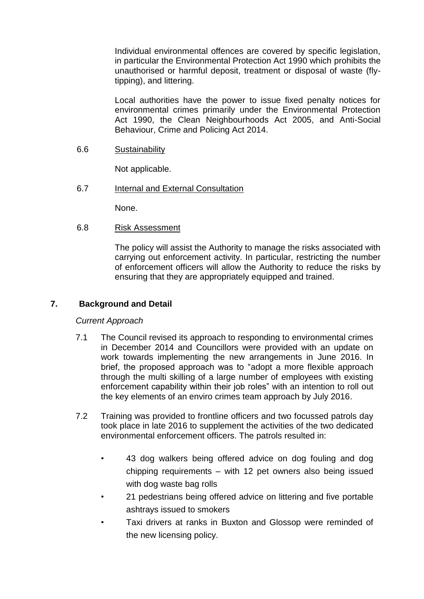Individual environmental offences are covered by specific legislation, in particular the Environmental Protection Act 1990 which prohibits the unauthorised or harmful deposit, treatment or disposal of waste (flytipping), and littering.

Local authorities have the power to issue fixed penalty notices for environmental crimes primarily under the Environmental Protection Act 1990, the Clean Neighbourhoods Act 2005, and Anti-Social Behaviour, Crime and Policing Act 2014.

6.6 Sustainability

Not applicable.

6.7 **Internal and External Consultation** 

None.

6.8 Risk Assessment

The policy will assist the Authority to manage the risks associated with carrying out enforcement activity. In particular, restricting the number of enforcement officers will allow the Authority to reduce the risks by ensuring that they are appropriately equipped and trained.

#### **7. Background and Detail**

#### *Current Approach*

- 7.1 The Council revised its approach to responding to environmental crimes in December 2014 and Councillors were provided with an update on work towards implementing the new arrangements in June 2016. In brief, the proposed approach was to "adopt a more flexible approach through the multi skilling of a large number of employees with existing enforcement capability within their job roles" with an intention to roll out the key elements of an enviro crimes team approach by July 2016.
- 7.2 Training was provided to frontline officers and two focussed patrols day took place in late 2016 to supplement the activities of the two dedicated environmental enforcement officers. The patrols resulted in:
	- 43 dog walkers being offered advice on dog fouling and dog chipping requirements – with 12 pet owners also being issued with dog waste bag rolls
	- 21 pedestrians being offered advice on littering and five portable ashtrays issued to smokers
	- Taxi drivers at ranks in Buxton and Glossop were reminded of the new licensing policy.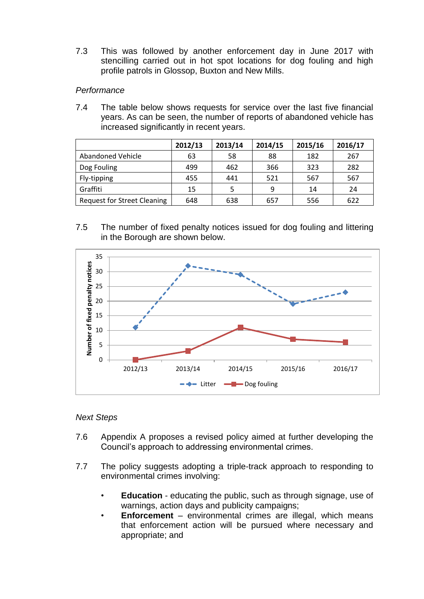7.3 This was followed by another enforcement day in June 2017 with stencilling carried out in hot spot locations for dog fouling and high profile patrols in Glossop, Buxton and New Mills.

### *Performance*

7.4 The table below shows requests for service over the last five financial years. As can be seen, the number of reports of abandoned vehicle has increased significantly in recent years.

|                                    | 2012/13 | 2013/14 | 2014/15 | 2015/16 | 2016/17 |
|------------------------------------|---------|---------|---------|---------|---------|
| Abandoned Vehicle                  | 63      | 58      | 88      | 182     | 267     |
| Dog Fouling                        | 499     | 462     | 366     | 323     | 282     |
| Fly-tipping                        | 455     | 441     | 521     | 567     | 567     |
| Graffiti                           | 15      |         | 9       | 14      | 24      |
| <b>Request for Street Cleaning</b> | 648     | 638     | 657     | 556     | 622     |

7.5 The number of fixed penalty notices issued for dog fouling and littering in the Borough are shown below.



#### *Next Steps*

- 7.6 Appendix A proposes a revised policy aimed at further developing the Council's approach to addressing environmental crimes.
- 7.7 The policy suggests adopting a triple-track approach to responding to environmental crimes involving:
	- **Education** educating the public, such as through signage, use of warnings, action days and publicity campaigns;
	- **Enforcement** environmental crimes are illegal, which means that enforcement action will be pursued where necessary and appropriate; and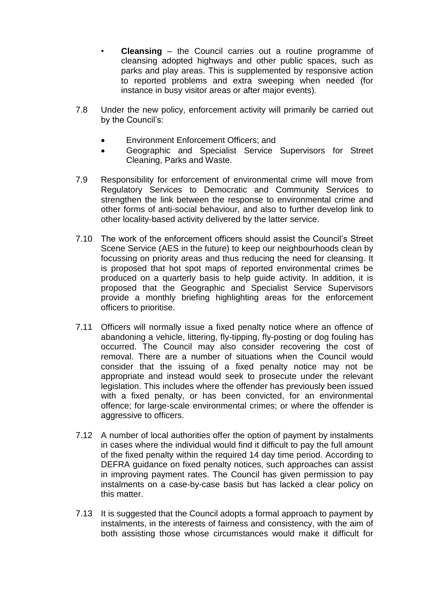- **Cleansing** the Council carries out a routine programme of cleansing adopted highways and other public spaces, such as parks and play areas. This is supplemented by responsive action to reported problems and extra sweeping when needed (for instance in busy visitor areas or after major events).
- 7.8 Under the new policy, enforcement activity will primarily be carried out by the Council's:
	- Environment Enforcement Officers; and
	- Geographic and Specialist Service Supervisors for Street Cleaning, Parks and Waste.
- 7.9 Responsibility for enforcement of environmental crime will move from Regulatory Services to Democratic and Community Services to strengthen the link between the response to environmental crime and other forms of anti-social behaviour, and also to further develop link to other locality-based activity delivered by the latter service.
- 7.10 The work of the enforcement officers should assist the Council's Street Scene Service (AES in the future) to keep our neighbourhoods clean by focussing on priority areas and thus reducing the need for cleansing. It is proposed that hot spot maps of reported environmental crimes be produced on a quarterly basis to help guide activity. In addition, it is proposed that the Geographic and Specialist Service Supervisors provide a monthly briefing highlighting areas for the enforcement officers to prioritise.
- 7.11 Officers will normally issue a fixed penalty notice where an offence of abandoning a vehicle, littering, fly-tipping, fly-posting or dog fouling has occurred. The Council may also consider recovering the cost of removal. There are a number of situations when the Council would consider that the issuing of a fixed penalty notice may not be appropriate and instead would seek to prosecute under the relevant legislation. This includes where the offender has previously been issued with a fixed penalty, or has been convicted, for an environmental offence; for large-scale environmental crimes; or where the offender is aggressive to officers.
- 7.12 A number of local authorities offer the option of payment by instalments in cases where the individual would find it difficult to pay the full amount of the fixed penalty within the required 14 day time period. According to DEFRA guidance on fixed penalty notices, such approaches can assist in improving payment rates. The Council has given permission to pay instalments on a case-by-case basis but has lacked a clear policy on this matter.
- 7.13 It is suggested that the Council adopts a formal approach to payment by instalments, in the interests of fairness and consistency, with the aim of both assisting those whose circumstances would make it difficult for